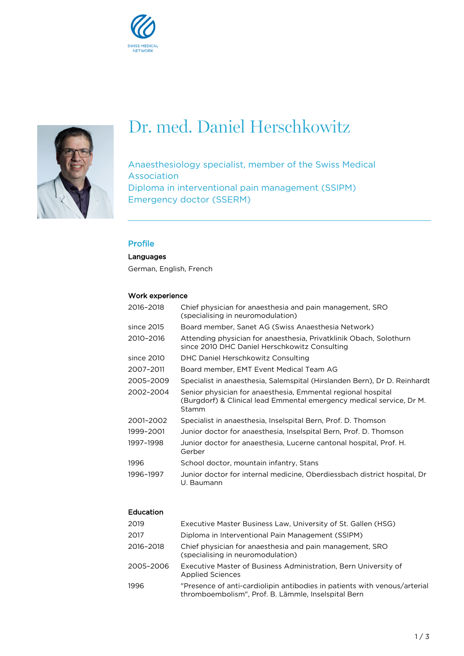



# Dr. med. Daniel Herschkowitz

Anaesthesiology specialist, member of the Swiss Medical Association Diploma in interventional pain management (SSIPM) Emergency doctor (SSERM)

# Profile

Languages

German, English, French

# Work experience

| 2016-2018  | Chief physician for anaesthesia and pain management, SRO<br>(specialising in neuromodulation)                                                 |
|------------|-----------------------------------------------------------------------------------------------------------------------------------------------|
| since 2015 | Board member, Sanet AG (Swiss Anaesthesia Network)                                                                                            |
| 2010-2016  | Attending physician for anaesthesia, Privatklinik Obach, Solothurn<br>since 2010 DHC Daniel Herschkowitz Consulting                           |
| since 2010 | DHC Daniel Herschkowitz Consulting                                                                                                            |
| 2007-2011  | Board member, EMT Event Medical Team AG                                                                                                       |
| 2005-2009  | Specialist in anaesthesia, Salemspital (Hirslanden Bern), Dr D. Reinhardt                                                                     |
| 2002-2004  | Senior physician for anaesthesia, Emmental regional hospital<br>(Burgdorf) & Clinical lead Emmental emergency medical service, Dr M.<br>Stamm |
| 2001-2002  | Specialist in anaesthesia, Inselspital Bern, Prof. D. Thomson                                                                                 |
| 1999-2001  | Junior doctor for anaesthesia, Inselspital Bern, Prof. D. Thomson                                                                             |
| 1997-1998  | Junior doctor for anaesthesia, Lucerne cantonal hospital, Prof. H.<br>Gerber                                                                  |
| 1996       | School doctor, mountain infantry, Stans                                                                                                       |
| 1996-1997  | Junior doctor for internal medicine, Oberdiessbach district hospital, Dr<br>U. Baumann                                                        |

# Education

| 2019      | Executive Master Business Law, University of St. Gallen (HSG)                                                                    |
|-----------|----------------------------------------------------------------------------------------------------------------------------------|
| 2017      | Diploma in Interventional Pain Management (SSIPM)                                                                                |
| 2016-2018 | Chief physician for anaesthesia and pain management, SRO<br>(specialising in neuromodulation)                                    |
| 2005–2006 | Executive Master of Business Administration, Bern University of<br><b>Applied Sciences</b>                                       |
| 1996      | "Presence of anti-cardiolipin antibodies in patients with venous/arterial<br>thromboembolism", Prof. B. Lämmle, Inselspital Bern |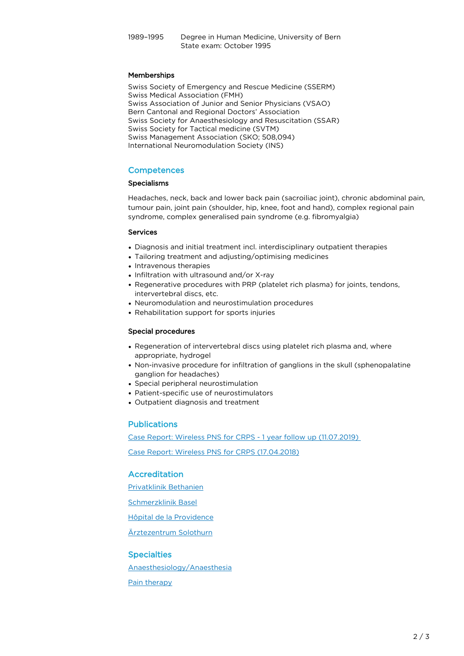## Memberships

Swiss Society of Emergency and Rescue Medicine (SSERM) Swiss Medical Association (FMH) Swiss Association of Junior and Senior Physicians (VSAO) Bern Cantonal and Regional Doctors' Association Swiss Society for Anaesthesiology and Resuscitation (SSAR) Swiss Society for Tactical medicine (SVTM) Swiss Management Association (SKO; 508,094) International Neuromodulation Society (INS)

## **Competences**

## Specialisms

Headaches, neck, back and lower back pain (sacroiliac joint), chronic abdominal pain, tumour pain, joint pain (shoulder, hip, knee, foot and hand), complex regional pain syndrome, complex generalised pain syndrome (e.g. fibromyalgia)

#### Services

- Diagnosis and initial treatment incl. interdisciplinary outpatient therapies
- Tailoring treatment and adjusting/optimising medicines
- Intravenous therapies
- Infiltration with ultrasound and/or X-ray
- Regenerative procedures with PRP (platelet rich plasma) for joints, tendons, intervertebral discs, etc.
- Neuromodulation and neurostimulation procedures
- Rehabilitation support for sports injuries

#### Special procedures

- Regeneration of intervertebral discs using platelet rich plasma and, where appropriate, hydrogel
- Non-invasive procedure for infiltration of ganglions in the skull (sphenopalatine ganglion for headaches)
- Special peripheral neurostimulation
- Patient-specific use of neurostimulators
- Outpatient diagnosis and treatment

## Publications

Case Report: Wireless PNS for CRPS - 1 year follow up (11.07.2019)

[Case Report: Wireless PNS for CRPS \(17.04.2018\)](https://pub.swissmedical.net/site/assets/files/228045/case_report_wireless_pns_for_crps_daniel_herschkowitz_17042019.pdf)

# Accreditation

[Privatklinik Bethanien](https://www.klinikbethanien.ch/en/)

[Schmerzklinik Basel](https://www.schmerzklinik.ch/en/)

[Hôpital de la Providence](https://www.hopital-providence.ch)

[Ärztezentrum Solothurn](https://www.aerztezentrum-solothurn.ch)

## **Specialties**

[Anaesthesiology/Anaesthesia](http://www.klinikbethanien.ch/en/unsere-fachgebiete/anesthesiologie-anesthesie)

[Pain therapy](http://www.klinikbethanien.ch/en/unsere-fachgebiete/antalgie)